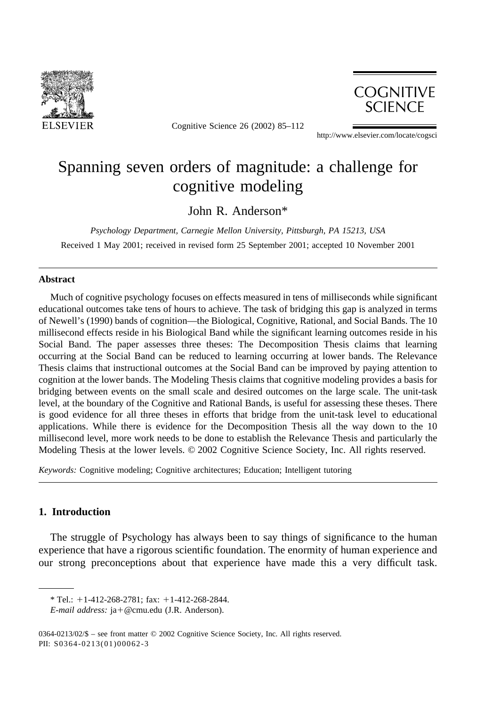

Cognitive Science 26 (2002) 85–112



http://www.elsevier.com/locate/cogsci

# Spanning seven orders of magnitude: a challenge for cognitive modeling

John R. Anderson\*

*Psychology Department, Carnegie Mellon University, Pittsburgh, PA 15213, USA* Received 1 May 2001; received in revised form 25 September 2001; accepted 10 November 2001

#### **Abstract**

Much of cognitive psychology focuses on effects measured in tens of milliseconds while significant educational outcomes take tens of hours to achieve. The task of bridging this gap is analyzed in terms of Newell's (1990) bands of cognition—the Biological, Cognitive, Rational, and Social Bands. The 10 millisecond effects reside in his Biological Band while the significant learning outcomes reside in his Social Band. The paper assesses three theses: The Decomposition Thesis claims that learning occurring at the Social Band can be reduced to learning occurring at lower bands. The Relevance Thesis claims that instructional outcomes at the Social Band can be improved by paying attention to cognition at the lower bands. The Modeling Thesis claims that cognitive modeling provides a basis for bridging between events on the small scale and desired outcomes on the large scale. The unit-task level, at the boundary of the Cognitive and Rational Bands, is useful for assessing these theses. There is good evidence for all three theses in efforts that bridge from the unit-task level to educational applications. While there is evidence for the Decomposition Thesis all the way down to the 10 millisecond level, more work needs to be done to establish the Relevance Thesis and particularly the Modeling Thesis at the lower levels. © 2002 Cognitive Science Society, Inc. All rights reserved.

*Keywords:* Cognitive modeling; Cognitive architectures; Education; Intelligent tutoring

### **1. Introduction**

The struggle of Psychology has always been to say things of significance to the human experience that have a rigorous scientific foundation. The enormity of human experience and our strong preconceptions about that experience have made this a very difficult task.

 $*$  Tel.: +1-412-268-2781; fax: +1-412-268-2844.

*E-mail address:* ja+@cmu.edu (J.R. Anderson).

<sup>0364-0213/02/\$ –</sup> see front matter © 2002 Cognitive Science Society, Inc. All rights reserved. PII: S0364-0213(01)00062-3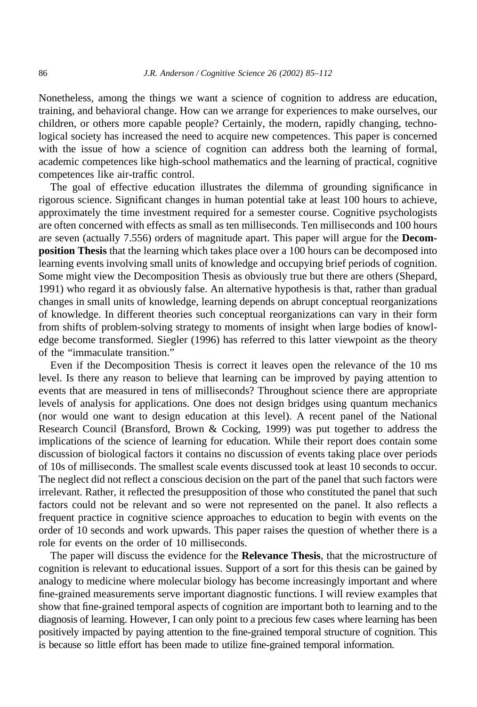Nonetheless, among the things we want a science of cognition to address are education, training, and behavioral change. How can we arrange for experiences to make ourselves, our children, or others more capable people? Certainly, the modern, rapidly changing, technological society has increased the need to acquire new competences. This paper is concerned with the issue of how a science of cognition can address both the learning of formal, academic competences like high-school mathematics and the learning of practical, cognitive competences like air-traffic control.

The goal of effective education illustrates the dilemma of grounding significance in rigorous science. Significant changes in human potential take at least 100 hours to achieve, approximately the time investment required for a semester course. Cognitive psychologists are often concerned with effects as small as ten milliseconds. Ten milliseconds and 100 hours are seven (actually 7.556) orders of magnitude apart. This paper will argue for the **Decomposition Thesis** that the learning which takes place over a 100 hours can be decomposed into learning events involving small units of knowledge and occupying brief periods of cognition. Some might view the Decomposition Thesis as obviously true but there are others (Shepard, 1991) who regard it as obviously false. An alternative hypothesis is that, rather than gradual changes in small units of knowledge, learning depends on abrupt conceptual reorganizations of knowledge. In different theories such conceptual reorganizations can vary in their form from shifts of problem-solving strategy to moments of insight when large bodies of knowledge become transformed. Siegler (1996) has referred to this latter viewpoint as the theory of the "immaculate transition."

Even if the Decomposition Thesis is correct it leaves open the relevance of the 10 ms level. Is there any reason to believe that learning can be improved by paying attention to events that are measured in tens of milliseconds? Throughout science there are appropriate levels of analysis for applications. One does not design bridges using quantum mechanics (nor would one want to design education at this level). A recent panel of the National Research Council (Bransford, Brown & Cocking, 1999) was put together to address the implications of the science of learning for education. While their report does contain some discussion of biological factors it contains no discussion of events taking place over periods of 10s of milliseconds. The smallest scale events discussed took at least 10 seconds to occur. The neglect did not reflect a conscious decision on the part of the panel that such factors were irrelevant. Rather, it reflected the presupposition of those who constituted the panel that such factors could not be relevant and so were not represented on the panel. It also reflects a frequent practice in cognitive science approaches to education to begin with events on the order of 10 seconds and work upwards. This paper raises the question of whether there is a role for events on the order of 10 milliseconds.

The paper will discuss the evidence for the **Relevance Thesis**, that the microstructure of cognition is relevant to educational issues. Support of a sort for this thesis can be gained by analogy to medicine where molecular biology has become increasingly important and where fine-grained measurements serve important diagnostic functions. I will review examples that show that fine-grained temporal aspects of cognition are important both to learning and to the diagnosis of learning. However, I can only point to a precious few cases where learning has been positively impacted by paying attention to the fine-grained temporal structure of cognition. This is because so little effort has been made to utilize fine-grained temporal information.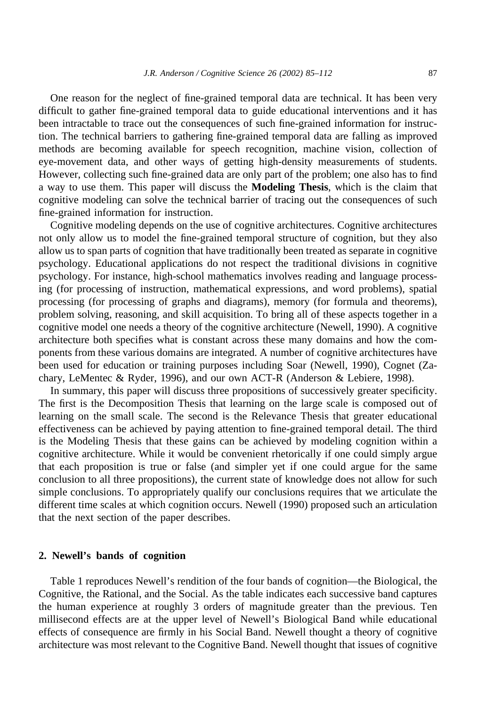One reason for the neglect of fine-grained temporal data are technical. It has been very difficult to gather fine-grained temporal data to guide educational interventions and it has been intractable to trace out the consequences of such fine-grained information for instruction. The technical barriers to gathering fine-grained temporal data are falling as improved methods are becoming available for speech recognition, machine vision, collection of eye-movement data, and other ways of getting high-density measurements of students. However, collecting such fine-grained data are only part of the problem; one also has to find a way to use them. This paper will discuss the **Modeling Thesis**, which is the claim that cognitive modeling can solve the technical barrier of tracing out the consequences of such fine-grained information for instruction.

Cognitive modeling depends on the use of cognitive architectures. Cognitive architectures not only allow us to model the fine-grained temporal structure of cognition, but they also allow us to span parts of cognition that have traditionally been treated as separate in cognitive psychology. Educational applications do not respect the traditional divisions in cognitive psychology. For instance, high-school mathematics involves reading and language processing (for processing of instruction, mathematical expressions, and word problems), spatial processing (for processing of graphs and diagrams), memory (for formula and theorems), problem solving, reasoning, and skill acquisition. To bring all of these aspects together in a cognitive model one needs a theory of the cognitive architecture (Newell, 1990). A cognitive architecture both specifies what is constant across these many domains and how the components from these various domains are integrated. A number of cognitive architectures have been used for education or training purposes including Soar (Newell, 1990), Cognet (Zachary, LeMentec & Ryder, 1996), and our own ACT-R (Anderson & Lebiere, 1998).

In summary, this paper will discuss three propositions of successively greater specificity. The first is the Decomposition Thesis that learning on the large scale is composed out of learning on the small scale. The second is the Relevance Thesis that greater educational effectiveness can be achieved by paying attention to fine-grained temporal detail. The third is the Modeling Thesis that these gains can be achieved by modeling cognition within a cognitive architecture. While it would be convenient rhetorically if one could simply argue that each proposition is true or false (and simpler yet if one could argue for the same conclusion to all three propositions), the current state of knowledge does not allow for such simple conclusions. To appropriately qualify our conclusions requires that we articulate the different time scales at which cognition occurs. Newell (1990) proposed such an articulation that the next section of the paper describes.

#### **2. Newell's bands of cognition**

Table 1 reproduces Newell's rendition of the four bands of cognition—the Biological, the Cognitive, the Rational, and the Social. As the table indicates each successive band captures the human experience at roughly 3 orders of magnitude greater than the previous. Ten millisecond effects are at the upper level of Newell's Biological Band while educational effects of consequence are firmly in his Social Band. Newell thought a theory of cognitive architecture was most relevant to the Cognitive Band. Newell thought that issues of cognitive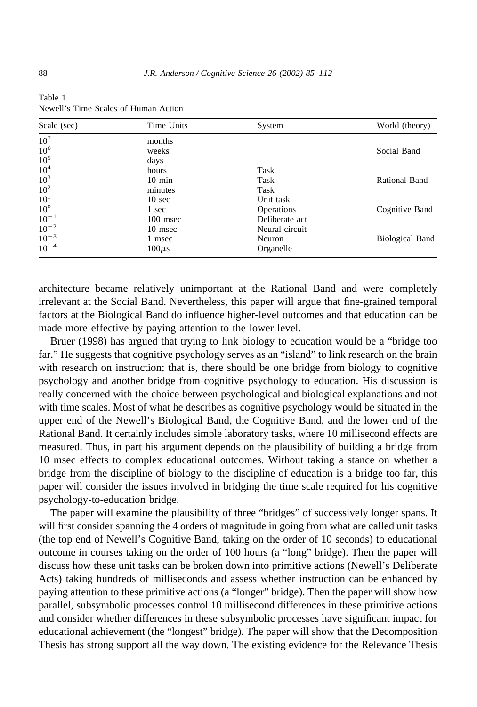| Scale (sec)     | Time Units       | System            | World (theory)         |
|-----------------|------------------|-------------------|------------------------|
| 10 <sup>7</sup> | months           |                   |                        |
| 10 <sup>6</sup> | weeks            |                   | Social Band            |
| $10^{5}$        | days             |                   |                        |
| $10^{4}$        | hours            | Task              |                        |
| $10^{3}$        | $10 \text{ min}$ | Task              | Rational Band          |
| $10^{2}$        | minutes          | Task              |                        |
| $10^{1}$        | $10 \text{ sec}$ | Unit task         |                        |
| 10 <sup>0</sup> | 1 sec            | <b>Operations</b> | Cognitive Band         |
| $10^{-1}$       | $100$ msec       | Deliberate act    |                        |
| $10^{-2}$       | 10 msec          | Neural circuit    |                        |
| $10^{-3}$       | 1 msec           | Neuron            | <b>Biological Band</b> |
| $10^{-4}$       | $100\mu s$       | Organelle         |                        |

Table 1 Newell's Time Scales of Human Action

architecture became relatively unimportant at the Rational Band and were completely irrelevant at the Social Band. Nevertheless, this paper will argue that fine-grained temporal factors at the Biological Band do influence higher-level outcomes and that education can be made more effective by paying attention to the lower level.

Bruer (1998) has argued that trying to link biology to education would be a "bridge too far." He suggests that cognitive psychology serves as an "island" to link research on the brain with research on instruction; that is, there should be one bridge from biology to cognitive psychology and another bridge from cognitive psychology to education. His discussion is really concerned with the choice between psychological and biological explanations and not with time scales. Most of what he describes as cognitive psychology would be situated in the upper end of the Newell's Biological Band, the Cognitive Band, and the lower end of the Rational Band. It certainly includes simple laboratory tasks, where 10 millisecond effects are measured. Thus, in part his argument depends on the plausibility of building a bridge from 10 msec effects to complex educational outcomes. Without taking a stance on whether a bridge from the discipline of biology to the discipline of education is a bridge too far, this paper will consider the issues involved in bridging the time scale required for his cognitive psychology-to-education bridge.

The paper will examine the plausibility of three "bridges" of successively longer spans. It will first consider spanning the 4 orders of magnitude in going from what are called unit tasks (the top end of Newell's Cognitive Band, taking on the order of 10 seconds) to educational outcome in courses taking on the order of 100 hours (a "long" bridge). Then the paper will discuss how these unit tasks can be broken down into primitive actions (Newell's Deliberate Acts) taking hundreds of milliseconds and assess whether instruction can be enhanced by paying attention to these primitive actions (a "longer" bridge). Then the paper will show how parallel, subsymbolic processes control 10 millisecond differences in these primitive actions and consider whether differences in these subsymbolic processes have significant impact for educational achievement (the "longest" bridge). The paper will show that the Decomposition Thesis has strong support all the way down. The existing evidence for the Relevance Thesis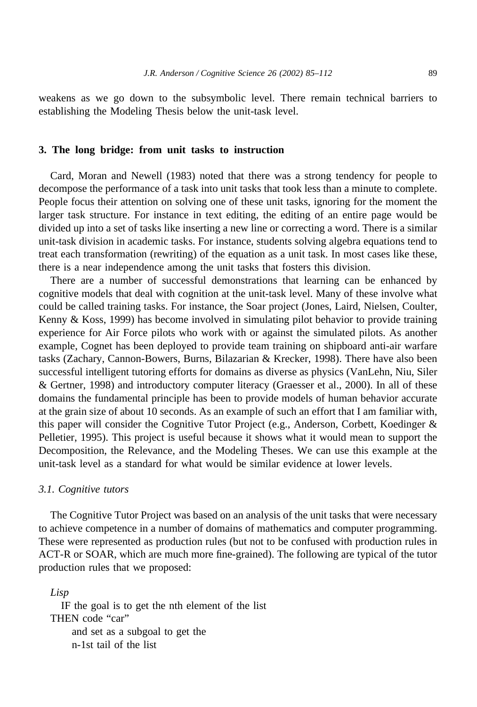weakens as we go down to the subsymbolic level. There remain technical barriers to establishing the Modeling Thesis below the unit-task level.

#### **3. The long bridge: from unit tasks to instruction**

Card, Moran and Newell (1983) noted that there was a strong tendency for people to decompose the performance of a task into unit tasks that took less than a minute to complete. People focus their attention on solving one of these unit tasks, ignoring for the moment the larger task structure. For instance in text editing, the editing of an entire page would be divided up into a set of tasks like inserting a new line or correcting a word. There is a similar unit-task division in academic tasks. For instance, students solving algebra equations tend to treat each transformation (rewriting) of the equation as a unit task. In most cases like these, there is a near independence among the unit tasks that fosters this division.

There are a number of successful demonstrations that learning can be enhanced by cognitive models that deal with cognition at the unit-task level. Many of these involve what could be called training tasks. For instance, the Soar project (Jones, Laird, Nielsen, Coulter, Kenny & Koss, 1999) has become involved in simulating pilot behavior to provide training experience for Air Force pilots who work with or against the simulated pilots. As another example, Cognet has been deployed to provide team training on shipboard anti-air warfare tasks (Zachary, Cannon-Bowers, Burns, Bilazarian & Krecker, 1998). There have also been successful intelligent tutoring efforts for domains as diverse as physics (VanLehn, Niu, Siler & Gertner, 1998) and introductory computer literacy (Graesser et al., 2000). In all of these domains the fundamental principle has been to provide models of human behavior accurate at the grain size of about 10 seconds. As an example of such an effort that I am familiar with, this paper will consider the Cognitive Tutor Project (e.g., Anderson, Corbett, Koedinger & Pelletier, 1995). This project is useful because it shows what it would mean to support the Decomposition, the Relevance, and the Modeling Theses. We can use this example at the unit-task level as a standard for what would be similar evidence at lower levels.

### *3.1. Cognitive tutors*

The Cognitive Tutor Project was based on an analysis of the unit tasks that were necessary to achieve competence in a number of domains of mathematics and computer programming. These were represented as production rules (but not to be confused with production rules in ACT-R or SOAR, which are much more fine-grained). The following are typical of the tutor production rules that we proposed:

*Lisp* IF the goal is to get the nth element of the list THEN code "car" and set as a subgoal to get the n-1st tail of the list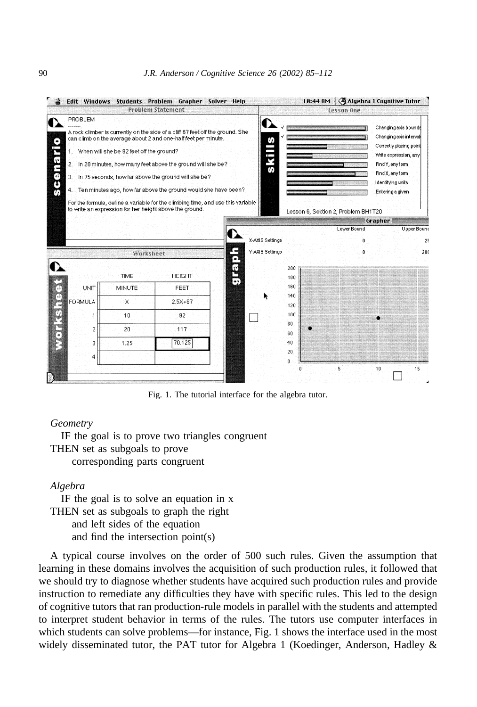

Fig. 1. The tutorial interface for the algebra tutor.

#### *Geometry*

IF the goal is to prove two triangles congruent THEN set as subgoals to prove corresponding parts congruent

#### *Algebra*

IF the goal is to solve an equation in x THEN set as subgoals to graph the right and left sides of the equation and find the intersection point(s)

A typical course involves on the order of 500 such rules. Given the assumption that learning in these domains involves the acquisition of such production rules, it followed that we should try to diagnose whether students have acquired such production rules and provide instruction to remediate any difficulties they have with specific rules. This led to the design of cognitive tutors that ran production-rule models in parallel with the students and attempted to interpret student behavior in terms of the rules. The tutors use computer interfaces in which students can solve problems—for instance, Fig. 1 shows the interface used in the most widely disseminated tutor, the PAT tutor for Algebra 1 (Koedinger, Anderson, Hadley &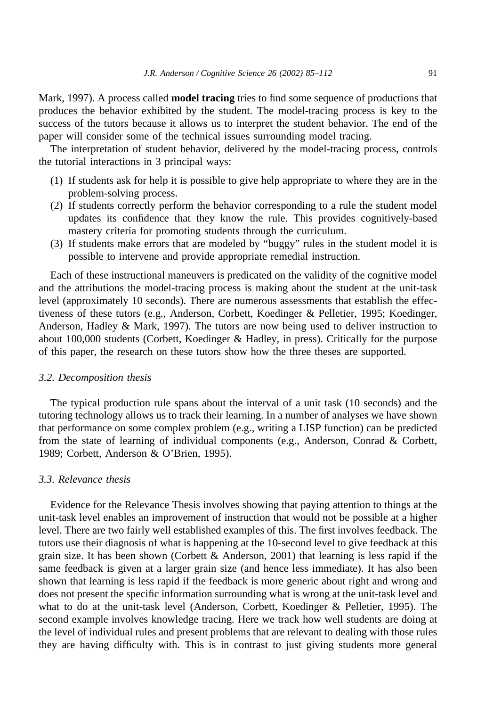Mark, 1997). A process called **model tracing** tries to find some sequence of productions that produces the behavior exhibited by the student. The model-tracing process is key to the success of the tutors because it allows us to interpret the student behavior. The end of the paper will consider some of the technical issues surrounding model tracing.

The interpretation of student behavior, delivered by the model-tracing process, controls the tutorial interactions in 3 principal ways:

- (1) If students ask for help it is possible to give help appropriate to where they are in the problem-solving process.
- (2) If students correctly perform the behavior corresponding to a rule the student model updates its confidence that they know the rule. This provides cognitively-based mastery criteria for promoting students through the curriculum.
- (3) If students make errors that are modeled by "buggy" rules in the student model it is possible to intervene and provide appropriate remedial instruction.

Each of these instructional maneuvers is predicated on the validity of the cognitive model and the attributions the model-tracing process is making about the student at the unit-task level (approximately 10 seconds). There are numerous assessments that establish the effectiveness of these tutors (e.g., Anderson, Corbett, Koedinger & Pelletier, 1995; Koedinger, Anderson, Hadley & Mark, 1997). The tutors are now being used to deliver instruction to about 100,000 students (Corbett, Koedinger & Hadley, in press). Critically for the purpose of this paper, the research on these tutors show how the three theses are supported.

#### *3.2. Decomposition thesis*

The typical production rule spans about the interval of a unit task (10 seconds) and the tutoring technology allows us to track their learning. In a number of analyses we have shown that performance on some complex problem (e.g., writing a LISP function) can be predicted from the state of learning of individual components (e.g., Anderson, Conrad & Corbett, 1989; Corbett, Anderson & O'Brien, 1995).

# *3.3. Relevance thesis*

Evidence for the Relevance Thesis involves showing that paying attention to things at the unit-task level enables an improvement of instruction that would not be possible at a higher level. There are two fairly well established examples of this. The first involves feedback. The tutors use their diagnosis of what is happening at the 10-second level to give feedback at this grain size. It has been shown (Corbett & Anderson, 2001) that learning is less rapid if the same feedback is given at a larger grain size (and hence less immediate). It has also been shown that learning is less rapid if the feedback is more generic about right and wrong and does not present the specific information surrounding what is wrong at the unit-task level and what to do at the unit-task level (Anderson, Corbett, Koedinger & Pelletier, 1995). The second example involves knowledge tracing. Here we track how well students are doing at the level of individual rules and present problems that are relevant to dealing with those rules they are having difficulty with. This is in contrast to just giving students more general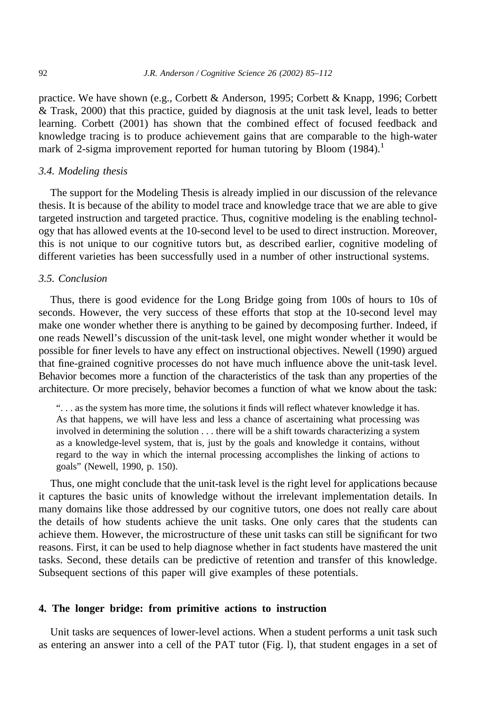practice. We have shown (e.g., Corbett & Anderson, 1995; Corbett & Knapp, 1996; Corbett & Trask, 2000) that this practice, guided by diagnosis at the unit task level, leads to better learning. Corbett (2001) has shown that the combined effect of focused feedback and knowledge tracing is to produce achievement gains that are comparable to the high-water mark of 2-sigma improvement reported for human tutoring by Bloom (1984).<sup>1</sup>

#### *3.4. Modeling thesis*

The support for the Modeling Thesis is already implied in our discussion of the relevance thesis. It is because of the ability to model trace and knowledge trace that we are able to give targeted instruction and targeted practice. Thus, cognitive modeling is the enabling technology that has allowed events at the 10-second level to be used to direct instruction. Moreover, this is not unique to our cognitive tutors but, as described earlier, cognitive modeling of different varieties has been successfully used in a number of other instructional systems.

#### *3.5. Conclusion*

Thus, there is good evidence for the Long Bridge going from 100s of hours to 10s of seconds. However, the very success of these efforts that stop at the 10-second level may make one wonder whether there is anything to be gained by decomposing further. Indeed, if one reads Newell's discussion of the unit-task level, one might wonder whether it would be possible for finer levels to have any effect on instructional objectives. Newell (1990) argued that fine-grained cognitive processes do not have much influence above the unit-task level. Behavior becomes more a function of the characteristics of the task than any properties of the architecture. Or more precisely, behavior becomes a function of what we know about the task:

". . . as the system has more time, the solutions it finds will reflect whatever knowledge it has. As that happens, we will have less and less a chance of ascertaining what processing was involved in determining the solution... there will be a shift towards characterizing a system as a knowledge-level system, that is, just by the goals and knowledge it contains, without regard to the way in which the internal processing accomplishes the linking of actions to goals" (Newell, 1990, p. 150).

Thus, one might conclude that the unit-task level is the right level for applications because it captures the basic units of knowledge without the irrelevant implementation details. In many domains like those addressed by our cognitive tutors, one does not really care about the details of how students achieve the unit tasks. One only cares that the students can achieve them. However, the microstructure of these unit tasks can still be significant for two reasons. First, it can be used to help diagnose whether in fact students have mastered the unit tasks. Second, these details can be predictive of retention and transfer of this knowledge. Subsequent sections of this paper will give examples of these potentials.

#### **4. The longer bridge: from primitive actions to instruction**

Unit tasks are sequences of lower-level actions. When a student performs a unit task such as entering an answer into a cell of the PAT tutor (Fig. l), that student engages in a set of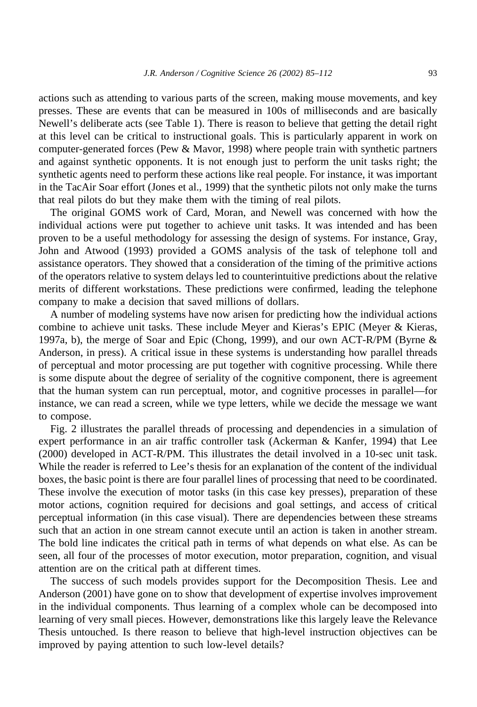actions such as attending to various parts of the screen, making mouse movements, and key presses. These are events that can be measured in 100s of milliseconds and are basically Newell's deliberate acts (see Table 1). There is reason to believe that getting the detail right at this level can be critical to instructional goals. This is particularly apparent in work on computer-generated forces (Pew & Mavor, 1998) where people train with synthetic partners and against synthetic opponents. It is not enough just to perform the unit tasks right; the synthetic agents need to perform these actions like real people. For instance, it was important in the TacAir Soar effort (Jones et al., 1999) that the synthetic pilots not only make the turns that real pilots do but they make them with the timing of real pilots.

The original GOMS work of Card, Moran, and Newell was concerned with how the individual actions were put together to achieve unit tasks. It was intended and has been proven to be a useful methodology for assessing the design of systems. For instance, Gray, John and Atwood (1993) provided a GOMS analysis of the task of telephone toll and assistance operators. They showed that a consideration of the timing of the primitive actions of the operators relative to system delays led to counterintuitive predictions about the relative merits of different workstations. These predictions were confirmed, leading the telephone company to make a decision that saved millions of dollars.

A number of modeling systems have now arisen for predicting how the individual actions combine to achieve unit tasks. These include Meyer and Kieras's EPIC (Meyer & Kieras, 1997a, b), the merge of Soar and Epic (Chong, 1999), and our own ACT-R/PM (Byrne & Anderson, in press). A critical issue in these systems is understanding how parallel threads of perceptual and motor processing are put together with cognitive processing. While there is some dispute about the degree of seriality of the cognitive component, there is agreement that the human system can run perceptual, motor, and cognitive processes in parallel—for instance, we can read a screen, while we type letters, while we decide the message we want to compose.

Fig. 2 illustrates the parallel threads of processing and dependencies in a simulation of expert performance in an air traffic controller task (Ackerman & Kanfer, 1994) that Lee (2000) developed in ACT-R/PM. This illustrates the detail involved in a 10-sec unit task. While the reader is referred to Lee's thesis for an explanation of the content of the individual boxes, the basic point is there are four parallel lines of processing that need to be coordinated. These involve the execution of motor tasks (in this case key presses), preparation of these motor actions, cognition required for decisions and goal settings, and access of critical perceptual information (in this case visual). There are dependencies between these streams such that an action in one stream cannot execute until an action is taken in another stream. The bold line indicates the critical path in terms of what depends on what else. As can be seen, all four of the processes of motor execution, motor preparation, cognition, and visual attention are on the critical path at different times.

The success of such models provides support for the Decomposition Thesis. Lee and Anderson (2001) have gone on to show that development of expertise involves improvement in the individual components. Thus learning of a complex whole can be decomposed into learning of very small pieces. However, demonstrations like this largely leave the Relevance Thesis untouched. Is there reason to believe that high-level instruction objectives can be improved by paying attention to such low-level details?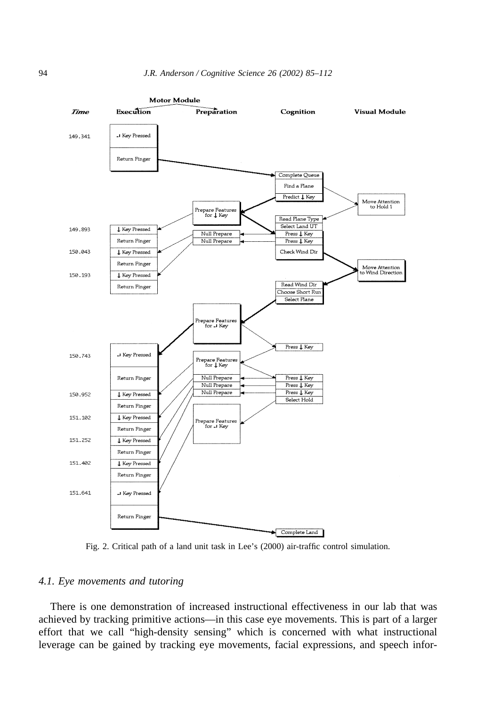

Fig. 2. Critical path of a land unit task in Lee's (2000) air-traffic control simulation.

#### *4.1. Eye movements and tutoring*

There is one demonstration of increased instructional effectiveness in our lab that was achieved by tracking primitive actions—in this case eye movements. This is part of a larger effort that we call "high-density sensing" which is concerned with what instructional leverage can be gained by tracking eye movements, facial expressions, and speech infor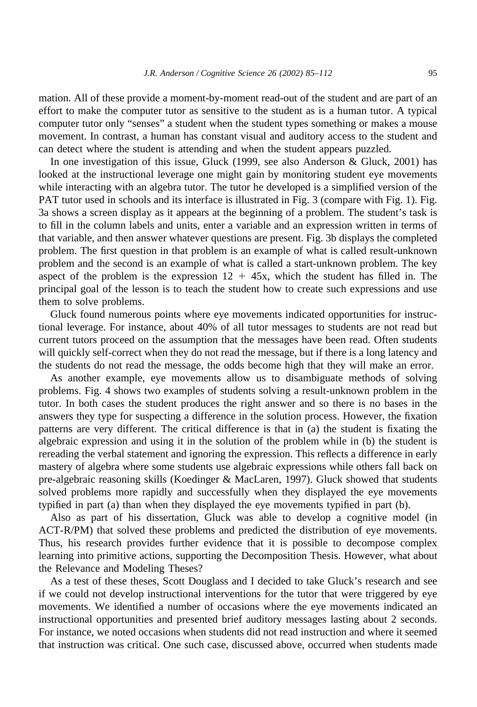mation. All of these provide a moment-by-moment read-out of the student and are part of an effort to make the computer tutor as sensitive to the student as is a human tutor. A typical computer tutor only "senses" a student when the student types something or makes a mouse movement. In contrast, a human has constant visual and auditory access to the student and can detect where the student is attending and when the student appears puzzled.

In one investigation of this issue, Gluck (1999, see also Anderson & Gluck, 2001) has looked at the instructional leverage one might gain by monitoring student eye movements while interacting with an algebra tutor. The tutor he developed is a simplified version of the PAT tutor used in schools and its interface is illustrated in Fig. 3 (compare with Fig. 1). Fig. 3a shows a screen display as it appears at the beginning of a problem. The student's task is to fill in the column labels and units, enter a variable and an expression written in terms of that variable, and then answer whatever questions are present. Fig. 3b displays the completed problem. The first question in that problem is an example of what is called result-unknown problem and the second is an example of what is called a start-unknown problem. The key aspect of the problem is the expression  $12 + 45x$ , which the student has filled in. The principal goal of the lesson is to teach the student how to create such expressions and use them to solve problems.

Gluck found numerous points where eye movements indicated opportunities for instructional leverage. For instance, about 40% of all tutor messages to students are not read but current tutors proceed on the assumption that the messages have been read. Often students will quickly self-correct when they do not read the message, but if there is a long latency and the students do not read the message, the odds become high that they will make an error.

As another example, eye movements allow us to disambiguate methods of solving problems. Fig. 4 shows two examples of students solving a result-unknown problem in the tutor. In both cases the student produces the right answer and so there is no bases in the answers they type for suspecting a difference in the solution process. However, the fixation patterns are very different. The critical difference is that in (a) the student is fixating the algebraic expression and using it in the solution of the problem while in (b) the student is rereading the verbal statement and ignoring the expression. This reflects a difference in early mastery of algebra where some students use algebraic expressions while others fall back on pre-algebraic reasoning skills (Koedinger & MacLaren, 1997). Gluck showed that students solved problems more rapidly and successfully when they displayed the eye movements typified in part (a) than when they displayed the eye movements typified in part (b).

Also as part of his dissertation, Gluck was able to develop a cognitive model (in ACT-R/PM) that solved these problems and predicted the distribution of eye movements. Thus, his research provides further evidence that it is possible to decompose complex learning into primitive actions, supporting the Decomposition Thesis. However, what about the Relevance and Modeling Theses?

As a test of these theses, Scott Douglass and I decided to take Gluck's research and see if we could not develop instructional interventions for the tutor that were triggered by eye movements. We identified a number of occasions where the eye movements indicated an instructional opportunities and presented brief auditory messages lasting about 2 seconds. For instance, we noted occasions when students did not read instruction and where it seemed that instruction was critical. One such case, discussed above, occurred when students made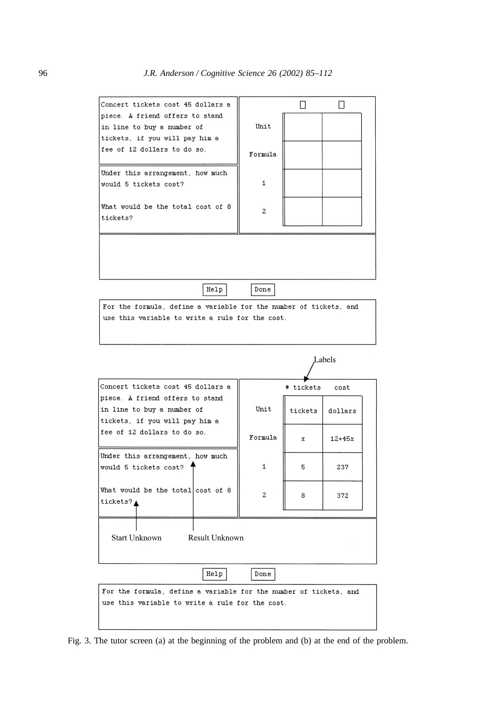| Concert tickets cost 45 dollars a                                 |                |  |  |  |  |
|-------------------------------------------------------------------|----------------|--|--|--|--|
| piece. A friend offers to stand<br>in line to buy a number of     | Unit           |  |  |  |  |
| tickets, if you will pay him a                                    |                |  |  |  |  |
| fee of 12 dollars to do so.                                       | Formula        |  |  |  |  |
| Under this arrangement, how much                                  |                |  |  |  |  |
| would 5 tickets cost?                                             | $\mathbf{1}$   |  |  |  |  |
| What would be the total cost of 8                                 | $\overline{a}$ |  |  |  |  |
| tickets?                                                          |                |  |  |  |  |
|                                                                   |                |  |  |  |  |
| Help<br>Done                                                      |                |  |  |  |  |
| For the formula, define a variable for the number of tickets, and |                |  |  |  |  |
| use this variable to write a rule for the cost.                   |                |  |  |  |  |

|                                                                                                                      | Labels       |           |            |  |  |  |
|----------------------------------------------------------------------------------------------------------------------|--------------|-----------|------------|--|--|--|
| Concert tickets cost 45 dollars a                                                                                    |              | # tickets | cost       |  |  |  |
| piece. A friend offers to stand<br>in line to buy a number of<br>tickets, if you will pay him a                      | Unit         | tickets   | dollars    |  |  |  |
| fee of 12 dollars to do so.                                                                                          | Formula      | x.        | $12 + 45x$ |  |  |  |
| Under this arrangement, how much<br>would 5 tickets cost?                                                            | $\mathbf{1}$ | 5.        | 237        |  |  |  |
| What would be the total cost of 8<br>tickets? ▲                                                                      | 2            | 8.        | 372        |  |  |  |
| Start Unknown Result Unknown                                                                                         |              |           |            |  |  |  |
| Help<br>Done:                                                                                                        |              |           |            |  |  |  |
| For the formula, define a variable for the number of tickets, and<br>use this variable to write a rule for the cost. |              |           |            |  |  |  |

Fig. 3. The tutor screen (a) at the beginning of the problem and (b) at the end of the problem.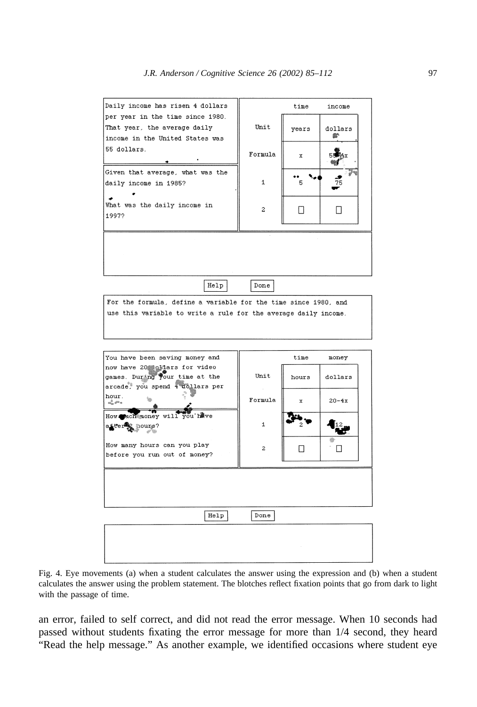

Fig. 4. Eye movements (a) when a student calculates the answer using the expression and (b) when a student calculates the answer using the problem statement. The blotches reflect fixation points that go from dark to light with the passage of time.

an error, failed to self correct, and did not read the error message. When 10 seconds had passed without students fixating the error message for more than 1/4 second, they heard "Read the help message." As another example, we identified occasions where student eye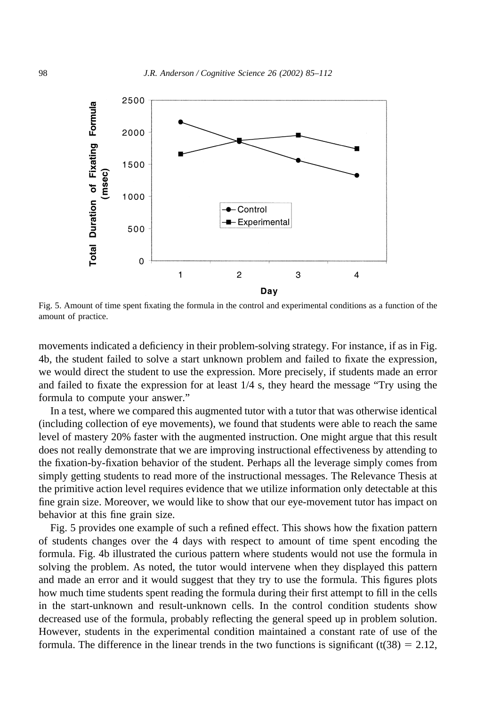

Fig. 5. Amount of time spent fixating the formula in the control and experimental conditions as a function of the amount of practice.

movements indicated a deficiency in their problem-solving strategy. For instance, if as in Fig. 4b, the student failed to solve a start unknown problem and failed to fixate the expression, we would direct the student to use the expression. More precisely, if students made an error and failed to fixate the expression for at least 1/4 s, they heard the message "Try using the formula to compute your answer."

In a test, where we compared this augmented tutor with a tutor that was otherwise identical (including collection of eye movements), we found that students were able to reach the same level of mastery 20% faster with the augmented instruction. One might argue that this result does not really demonstrate that we are improving instructional effectiveness by attending to the fixation-by-fixation behavior of the student. Perhaps all the leverage simply comes from simply getting students to read more of the instructional messages. The Relevance Thesis at the primitive action level requires evidence that we utilize information only detectable at this fine grain size. Moreover, we would like to show that our eye-movement tutor has impact on behavior at this fine grain size.

Fig. 5 provides one example of such a refined effect. This shows how the fixation pattern of students changes over the 4 days with respect to amount of time spent encoding the formula. Fig. 4b illustrated the curious pattern where students would not use the formula in solving the problem. As noted, the tutor would intervene when they displayed this pattern and made an error and it would suggest that they try to use the formula. This figures plots how much time students spent reading the formula during their first attempt to fill in the cells in the start-unknown and result-unknown cells. In the control condition students show decreased use of the formula, probably reflecting the general speed up in problem solution. However, students in the experimental condition maintained a constant rate of use of the formula. The difference in the linear trends in the two functions is significant (t(38)  $= 2.12$ ,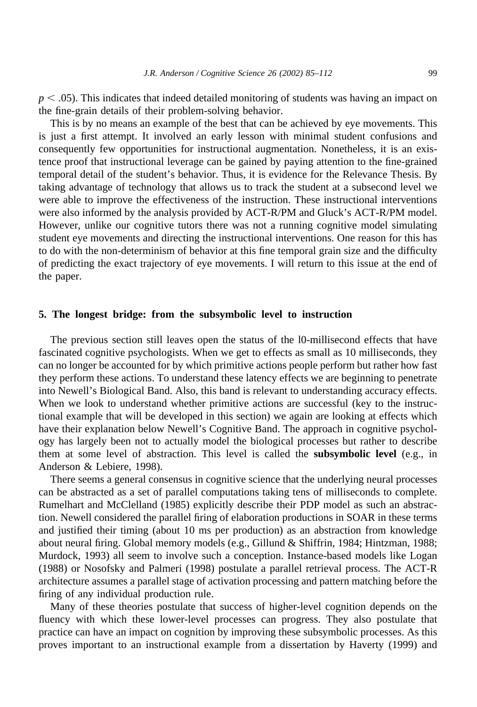$p < .05$ ). This indicates that indeed detailed monitoring of students was having an impact on the fine-grain details of their problem-solving behavior.

This is by no means an example of the best that can be achieved by eye movements. This is just a first attempt. It involved an early lesson with minimal student confusions and consequently few opportunities for instructional augmentation. Nonetheless, it is an existence proof that instructional leverage can be gained by paying attention to the fine-grained temporal detail of the student's behavior. Thus, it is evidence for the Relevance Thesis. By taking advantage of technology that allows us to track the student at a subsecond level we were able to improve the effectiveness of the instruction. These instructional interventions were also informed by the analysis provided by ACT-R/PM and Gluck's ACT-R/PM model. However, unlike our cognitive tutors there was not a running cognitive model simulating student eye movements and directing the instructional interventions. One reason for this has to do with the non-determinism of behavior at this fine temporal grain size and the difficulty of predicting the exact trajectory of eye movements. I will return to this issue at the end of the paper.

#### **5. The longest bridge: from the subsymbolic level to instruction**

The previous section still leaves open the status of the l0-millisecond effects that have fascinated cognitive psychologists. When we get to effects as small as 10 milliseconds, they can no longer be accounted for by which primitive actions people perform but rather how fast they perform these actions. To understand these latency effects we are beginning to penetrate into Newell's Biological Band. Also, this band is relevant to understanding accuracy effects. When we look to understand whether primitive actions are successful (key to the instructional example that will be developed in this section) we again are looking at effects which have their explanation below Newell's Cognitive Band. The approach in cognitive psychology has largely been not to actually model the biological processes but rather to describe them at some level of abstraction. This level is called the **subsymbolic level** (e.g., in Anderson & Lebiere, 1998).

There seems a general consensus in cognitive science that the underlying neural processes can be abstracted as a set of parallel computations taking tens of milliseconds to complete. Rumelhart and McClelland (1985) explicitly describe their PDP model as such an abstraction. Newell considered the parallel firing of elaboration productions in SOAR in these terms and justified their timing (about 10 ms per production) as an abstraction from knowledge about neural firing. Global memory models (e.g., Gillund & Shiffrin, 1984; Hintzman, 1988; Murdock, 1993) all seem to involve such a conception. Instance-based models like Logan (1988) or Nosofsky and Palmeri (1998) postulate a parallel retrieval process. The ACT-R architecture assumes a parallel stage of activation processing and pattern matching before the firing of any individual production rule.

Many of these theories postulate that success of higher-level cognition depends on the fluency with which these lower-level processes can progress. They also postulate that practice can have an impact on cognition by improving these subsymbolic processes. As this proves important to an instructional example from a dissertation by Haverty (1999) and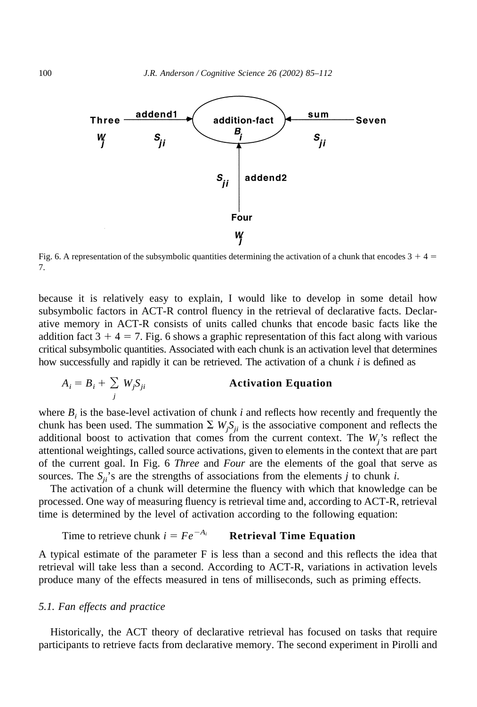

Fig. 6. A representation of the subsymbolic quantities determining the activation of a chunk that encodes  $3 + 4 =$ 7.

because it is relatively easy to explain, I would like to develop in some detail how subsymbolic factors in ACT-R control fluency in the retrieval of declarative facts. Declarative memory in ACT-R consists of units called chunks that encode basic facts like the addition fact  $3 + 4 = 7$ . Fig. 6 shows a graphic representation of this fact along with various critical subsymbolic quantities. Associated with each chunk is an activation level that determines how successfully and rapidly it can be retrieved. The activation of a chunk *i* is defined as

$$
A_i = B_i + \sum_j W_j S_{ji}
$$
 Activation Equation

where  $B_i$  is the base-level activation of chunk  $i$  and reflects how recently and frequently the chunk has been used. The summation  $\Sigma$   $W_j S_{ji}$  is the associative component and reflects the additional boost to activation that comes from the current context. The *Wj '*s reflect the attentional weightings, called source activations, given to elements in the context that are part of the current goal. In Fig. 6 *Three* and *Four* are the elements of the goal that serve as sources. The  $S_{ii}$ 's are the strengths of associations from the elements *j* to chunk *i*.

The activation of a chunk will determine the fluency with which that knowledge can be processed. One way of measuring fluency is retrieval time and, according to ACT-R, retrieval time is determined by the level of activation according to the following equation:

#### Time to retrieve chunk  $i = Fe^{-1}$ *Ai* **Retrieval Time Equation**

A typical estimate of the parameter F is less than a second and this reflects the idea that retrieval will take less than a second. According to ACT-R, variations in activation levels produce many of the effects measured in tens of milliseconds, such as priming effects.

# *5.1. Fan effects and practice*

Historically, the ACT theory of declarative retrieval has focused on tasks that require participants to retrieve facts from declarative memory. The second experiment in Pirolli and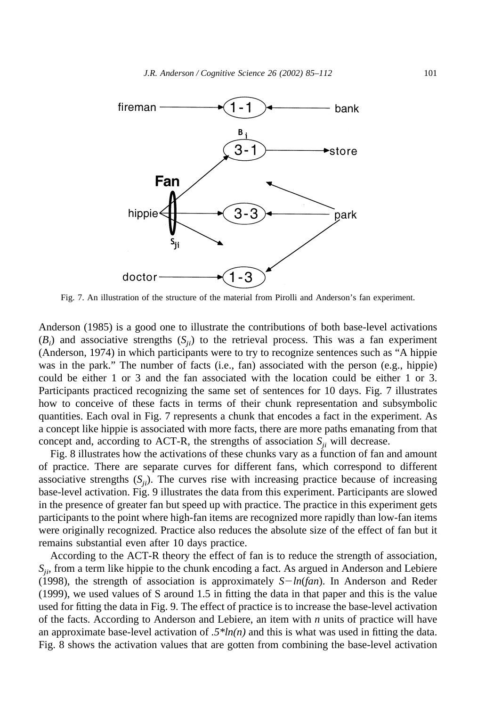

Fig. 7. An illustration of the structure of the material from Pirolli and Anderson's fan experiment.

Anderson (1985) is a good one to illustrate the contributions of both base-level activations  $(B_i)$  and associative strengths  $(S_{ji})$  to the retrieval process. This was a fan experiment (Anderson, 1974) in which participants were to try to recognize sentences such as "A hippie was in the park." The number of facts (i.e., fan) associated with the person (e.g., hippie) could be either 1 or 3 and the fan associated with the location could be either 1 or 3. Participants practiced recognizing the same set of sentences for 10 days. Fig. 7 illustrates how to conceive of these facts in terms of their chunk representation and subsymbolic quantities. Each oval in Fig. 7 represents a chunk that encodes a fact in the experiment. As a concept like hippie is associated with more facts, there are more paths emanating from that concept and, according to ACT-R, the strengths of association  $S_{ij}$  will decrease.

Fig. 8 illustrates how the activations of these chunks vary as a function of fan and amount of practice. There are separate curves for different fans, which correspond to different associative strengths  $(S_{ij})$ . The curves rise with increasing practice because of increasing base-level activation. Fig. 9 illustrates the data from this experiment. Participants are slowed in the presence of greater fan but speed up with practice. The practice in this experiment gets participants to the point where high-fan items are recognized more rapidly than low-fan items were originally recognized. Practice also reduces the absolute size of the effect of fan but it remains substantial even after 10 days practice.

According to the ACT-R theory the effect of fan is to reduce the strength of association, *Sji,* from a term like hippie to the chunk encoding a fact. As argued in Anderson and Lebiere (1998), the strength of association is approximately *S*-*ln*(*fan*). In Anderson and Reder (1999), we used values of S around 1.5 in fitting the data in that paper and this is the value used for fitting the data in Fig. 9. The effect of practice is to increase the base-level activation of the facts. According to Anderson and Lebiere, an item with *n* units of practice will have an approximate base-level activation of *.5\*ln(n)* and this is what was used in fitting the data. Fig. 8 shows the activation values that are gotten from combining the base-level activation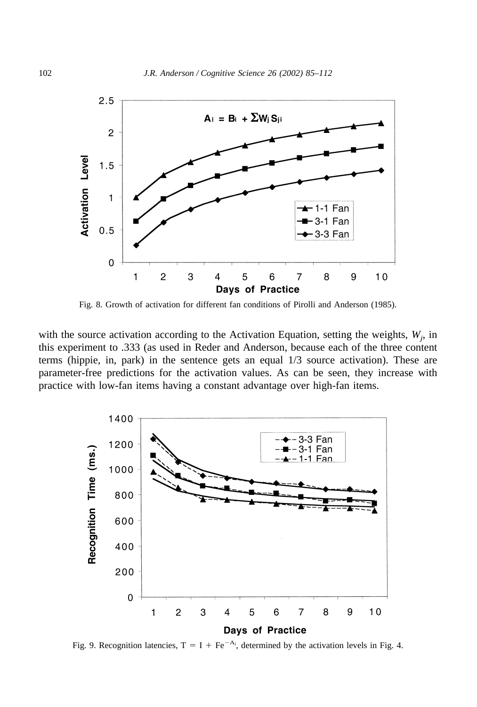

Fig. 8. Growth of activation for different fan conditions of Pirolli and Anderson (1985).

with the source activation according to the Activation Equation, setting the weights,  $W_j$ , in this experiment to .333 (as used in Reder and Anderson, because each of the three content terms (hippie, in, park) in the sentence gets an equal 1/3 source activation). These are parameter-free predictions for the activation values. As can be seen, they increase with practice with low-fan items having a constant advantage over high-fan items.



Fig. 9. Recognition latencies,  $T = I + Fe^{-A_i}$ , determined by the activation levels in Fig. 4.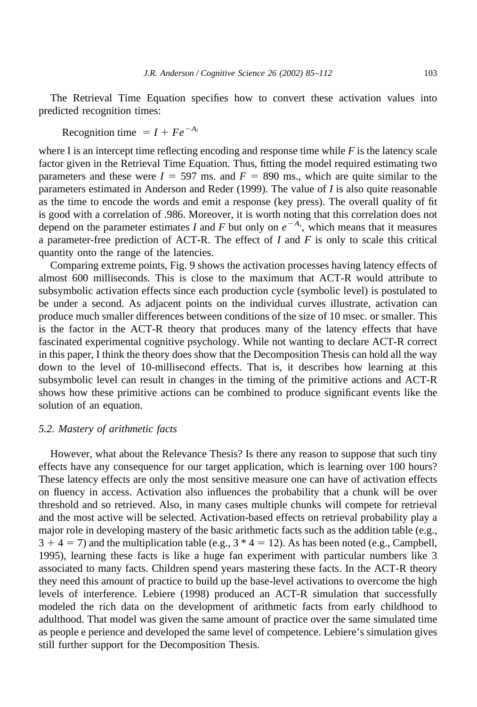The Retrieval Time Equation specifies how to convert these activation values into predicted recognition times:

Recognition time = 
$$
I + Fe^{-A_i}
$$

where I is an intercept time reflecting encoding and response time while *F* is the latency scale factor given in the Retrieval Time Equation. Thus, fitting the model required estimating two parameters and these were  $I = 597$  ms. and  $F = 890$  ms., which are quite similar to the parameters estimated in Anderson and Reder (1999). The value of *I* is also quite reasonable as the time to encode the words and emit a response (key press). The overall quality of fit is good with a correlation of .986. Moreover, it is worth noting that this correlation does not depend on the parameter estimates *I* and *F* but only on  $e^{-A_i}$ , which means that it measures a parameter-free prediction of ACT-R. The effect of *I* and *F* is only to scale this critical quantity onto the range of the latencies.

Comparing extreme points, Fig. 9 shows the activation processes having latency effects of almost 600 milliseconds. This is close to the maximum that ACT-R would attribute to subsymbolic activation effects since each production cycle (symbolic level) is postulated to be under a second. As adjacent points on the individual curves illustrate, activation can produce much smaller differences between conditions of the size of 10 msec. or smaller. This is the factor in the ACT-R theory that produces many of the latency effects that have fascinated experimental cognitive psychology. While not wanting to declare ACT-R correct in this paper, I think the theory does show that the Decomposition Thesis can hold all the way down to the level of 10-millisecond effects. That is, it describes how learning at this subsymbolic level can result in changes in the timing of the primitive actions and ACT-R shows how these primitive actions can be combined to produce significant events like the solution of an equation.

#### *5.2. Mastery of arithmetic facts*

However, what about the Relevance Thesis? Is there any reason to suppose that such tiny effects have any consequence for our target application, which is learning over 100 hours? These latency effects are only the most sensitive measure one can have of activation effects on fluency in access. Activation also influences the probability that a chunk will be over threshold and so retrieved. Also, in many cases multiple chunks will compete for retrieval and the most active will be selected. Activation-based effects on retrieval probability play a major role in developing mastery of the basic arithmetic facts such as the addition table (e.g.,  $3 + 4 = 7$ ) and the multiplication table (e.g.,  $3 * 4 = 12$ ). As has been noted (e.g., Campbell, 1995), learning these facts is like a huge fan experiment with particular numbers like 3 associated to many facts. Children spend years mastering these facts. In the ACT-R theory they need this amount of practice to build up the base-level activations to overcome the high levels of interference. Lebiere (1998) produced an ACT-R simulation that successfully modeled the rich data on the development of arithmetic facts from early childhood to adulthood. That model was given the same amount of practice over the same simulated time as people e perience and developed the same level of competence. Lebiere's simulation gives still further support for the Decomposition Thesis.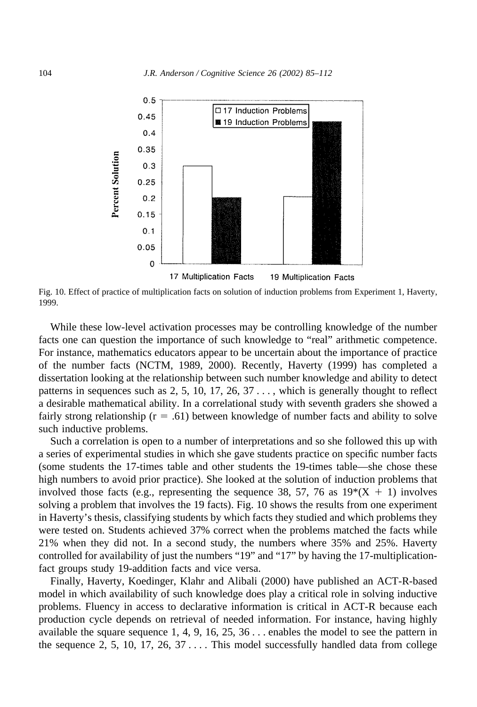

Fig. 10. Effect of practice of multiplication facts on solution of induction problems from Experiment 1, Haverty, 1999.

While these low-level activation processes may be controlling knowledge of the number facts one can question the importance of such knowledge to "real" arithmetic competence. For instance, mathematics educators appear to be uncertain about the importance of practice of the number facts (NCTM, 1989, 2000). Recently, Haverty (1999) has completed a dissertation looking at the relationship between such number knowledge and ability to detect patterns in sequences such as  $2, 5, 10, 17, 26, 37...$ , which is generally thought to reflect a desirable mathematical ability. In a correlational study with seventh graders she showed a fairly strong relationship ( $r = .61$ ) between knowledge of number facts and ability to solve such inductive problems.

Such a correlation is open to a number of interpretations and so she followed this up with a series of experimental studies in which she gave students practice on specific number facts (some students the 17-times table and other students the 19-times table—she chose these high numbers to avoid prior practice). She looked at the solution of induction problems that involved those facts (e.g., representing the sequence 38, 57, 76 as  $19*(X + 1)$  involves solving a problem that involves the 19 facts). Fig. 10 shows the results from one experiment in Haverty's thesis, classifying students by which facts they studied and which problems they were tested on. Students achieved 37% correct when the problems matched the facts while 21% when they did not. In a second study, the numbers where 35% and 25%. Haverty controlled for availability of just the numbers "19" and "17" by having the 17-multiplicationfact groups study 19-addition facts and vice versa.

Finally, Haverty, Koedinger, Klahr and Alibali (2000) have published an ACT-R-based model in which availability of such knowledge does play a critical role in solving inductive problems. Fluency in access to declarative information is critical in ACT-R because each production cycle depends on retrieval of needed information. For instance, having highly available the square sequence 1, 4, 9, 16, 25, 36... enables the model to see the pattern in the sequence 2, 5, 10, 17, 26,  $37 \ldots$ . This model successfully handled data from college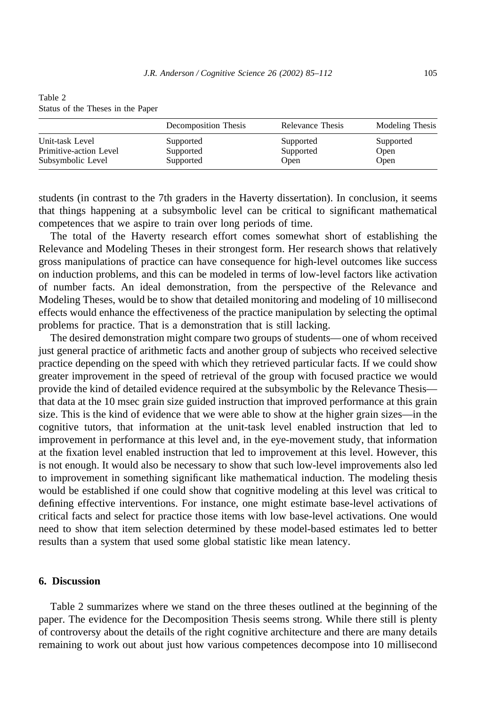| Table 2 |  |                                   |  |  |
|---------|--|-----------------------------------|--|--|
|         |  | Status of the Theses in the Paper |  |  |

|                        | Decomposition Thesis | Relevance Thesis | Modeling Thesis |
|------------------------|----------------------|------------------|-----------------|
| Unit-task Level        | Supported            | Supported        | Supported       |
| Primitive-action Level | Supported            | Supported        | Open            |
| Subsymbolic Level      | Supported            | <b>Open</b>      | Open            |

students (in contrast to the 7th graders in the Haverty dissertation). In conclusion, it seems that things happening at a subsymbolic level can be critical to significant mathematical competences that we aspire to train over long periods of time.

The total of the Haverty research effort comes somewhat short of establishing the Relevance and Modeling Theses in their strongest form. Her research shows that relatively gross manipulations of practice can have consequence for high-level outcomes like success on induction problems, and this can be modeled in terms of low-level factors like activation of number facts. An ideal demonstration, from the perspective of the Relevance and Modeling Theses, would be to show that detailed monitoring and modeling of 10 millisecond effects would enhance the effectiveness of the practice manipulation by selecting the optimal problems for practice. That is a demonstration that is still lacking.

The desired demonstration might compare two groups of students—one of whom received just general practice of arithmetic facts and another group of subjects who received selective practice depending on the speed with which they retrieved particular facts. If we could show greater improvement in the speed of retrieval of the group with focused practice we would provide the kind of detailed evidence required at the subsymbolic by the Relevance Thesis that data at the 10 msec grain size guided instruction that improved performance at this grain size. This is the kind of evidence that we were able to show at the higher grain sizes—in the cognitive tutors, that information at the unit-task level enabled instruction that led to improvement in performance at this level and, in the eye-movement study, that information at the fixation level enabled instruction that led to improvement at this level. However, this is not enough. It would also be necessary to show that such low-level improvements also led to improvement in something significant like mathematical induction. The modeling thesis would be established if one could show that cognitive modeling at this level was critical to defining effective interventions. For instance, one might estimate base-level activations of critical facts and select for practice those items with low base-level activations. One would need to show that item selection determined by these model-based estimates led to better results than a system that used some global statistic like mean latency.

# **6. Discussion**

Table 2 summarizes where we stand on the three theses outlined at the beginning of the paper. The evidence for the Decomposition Thesis seems strong. While there still is plenty of controversy about the details of the right cognitive architecture and there are many details remaining to work out about just how various competences decompose into 10 millisecond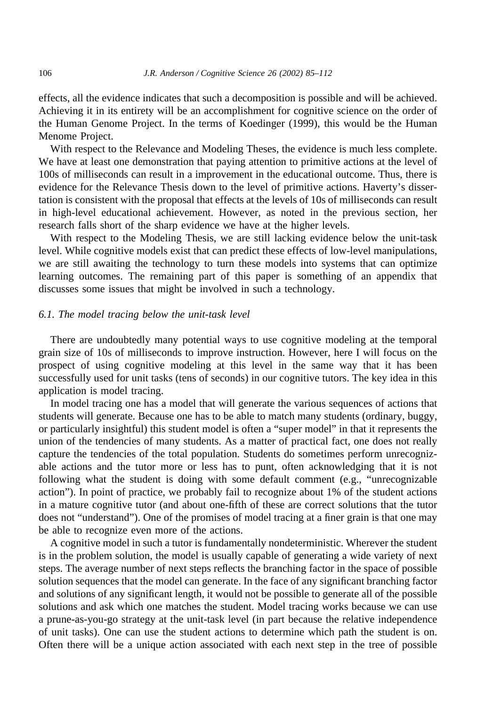effects, all the evidence indicates that such a decomposition is possible and will be achieved. Achieving it in its entirety will be an accomplishment for cognitive science on the order of the Human Genome Project. In the terms of Koedinger (1999), this would be the Human Menome Project.

With respect to the Relevance and Modeling Theses, the evidence is much less complete. We have at least one demonstration that paying attention to primitive actions at the level of 100s of milliseconds can result in a improvement in the educational outcome. Thus, there is evidence for the Relevance Thesis down to the level of primitive actions. Haverty's dissertation is consistent with the proposal that effects at the levels of 10s of milliseconds can result in high-level educational achievement. However, as noted in the previous section, her research falls short of the sharp evidence we have at the higher levels.

With respect to the Modeling Thesis, we are still lacking evidence below the unit-task level. While cognitive models exist that can predict these effects of low-level manipulations, we are still awaiting the technology to turn these models into systems that can optimize learning outcomes. The remaining part of this paper is something of an appendix that discusses some issues that might be involved in such a technology.

### *6.1. The model tracing below the unit-task level*

There are undoubtedly many potential ways to use cognitive modeling at the temporal grain size of 10s of milliseconds to improve instruction. However, here I will focus on the prospect of using cognitive modeling at this level in the same way that it has been successfully used for unit tasks (tens of seconds) in our cognitive tutors. The key idea in this application is model tracing.

In model tracing one has a model that will generate the various sequences of actions that students will generate. Because one has to be able to match many students (ordinary, buggy, or particularly insightful) this student model is often a "super model" in that it represents the union of the tendencies of many students. As a matter of practical fact, one does not really capture the tendencies of the total population. Students do sometimes perform unrecognizable actions and the tutor more or less has to punt, often acknowledging that it is not following what the student is doing with some default comment (e.g., "unrecognizable action"). In point of practice, we probably fail to recognize about 1% of the student actions in a mature cognitive tutor (and about one-fifth of these are correct solutions that the tutor does not "understand"). One of the promises of model tracing at a finer grain is that one may be able to recognize even more of the actions.

A cognitive model in such a tutor is fundamentally nondeterministic. Wherever the student is in the problem solution, the model is usually capable of generating a wide variety of next steps. The average number of next steps reflects the branching factor in the space of possible solution sequences that the model can generate. In the face of any significant branching factor and solutions of any significant length, it would not be possible to generate all of the possible solutions and ask which one matches the student. Model tracing works because we can use a prune-as-you-go strategy at the unit-task level (in part because the relative independence of unit tasks). One can use the student actions to determine which path the student is on. Often there will be a unique action associated with each next step in the tree of possible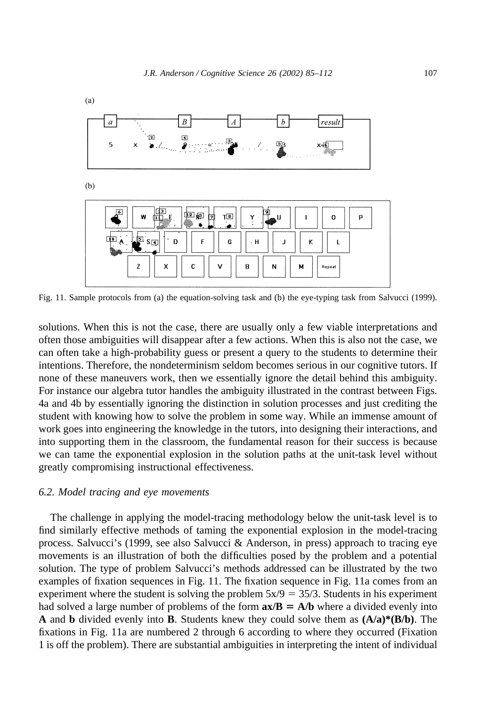

Fig. 11. Sample protocols from (a) the equation-solving task and (b) the eye-typing task from Salvucci (1999).

solutions. When this is not the case, there are usually only a few viable interpretations and often those ambiguities will disappear after a few actions. When this is also not the case, we can often take a high-probability guess or present a query to the students to determine their intentions. Therefore, the nondeterminism seldom becomes serious in our cognitive tutors. If none of these maneuvers work, then we essentially ignore the detail behind this ambiguity. For instance our algebra tutor handles the ambiguity illustrated in the contrast between Figs. 4a and 4b by essentially ignoring the distinction in solution processes and just crediting the student with knowing how to solve the problem in some way. While an immense amount of work goes into engineering the knowledge in the tutors, into designing their interactions, and into supporting them in the classroom, the fundamental reason for their success is because we can tame the exponential explosion in the solution paths at the unit-task level without greatly compromising instructional effectiveness.

#### *6.2. Model tracing and eye movements*

The challenge in applying the model-tracing methodology below the unit-task level is to find similarly effective methods of taming the exponential explosion in the model-tracing process. Salvucci's (1999, see also Salvucci & Anderson, in press) approach to tracing eye movements is an illustration of both the difficulties posed by the problem and a potential solution. The type of problem Salvucci's methods addressed can be illustrated by the two examples of fixation sequences in Fig. 11. The fixation sequence in Fig. 11a comes from an experiment where the student is solving the problem  $5x/9 = 35/3$ . Students in his experiment had solved a large number of problems of the form  $\mathbf{ax}/\mathbf{B} = \mathbf{A}/\mathbf{b}$  where a divided evenly into **A** and **b** divided evenly into **B**. Students knew they could solve them as **(A/a)\*(B/b)**. The fixations in Fig. 11a are numbered 2 through 6 according to where they occurred (Fixation 1 is off the problem). There are substantial ambiguities in interpreting the intent of individual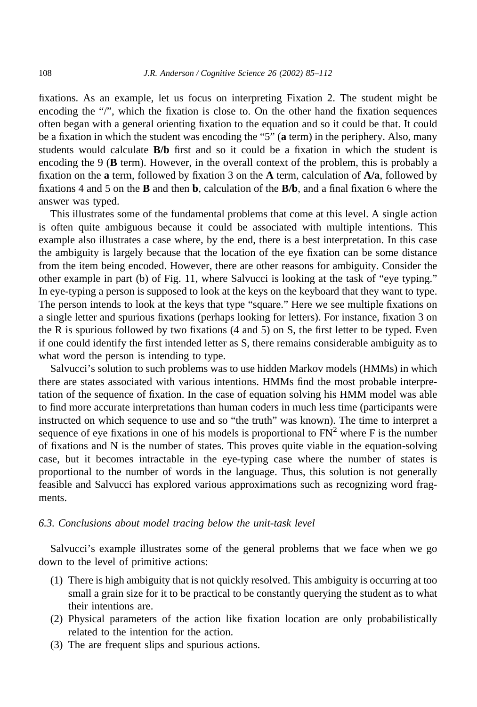fixations. As an example, let us focus on interpreting Fixation 2. The student might be encoding the "/", which the fixation is close to. On the other hand the fixation sequences often began with a general orienting fixation to the equation and so it could be that. It could be a fixation in which the student was encoding the "5" (**a** term) in the periphery. Also, many students would calculate **B/b** first and so it could be a fixation in which the student is encoding the 9 (**B** term). However, in the overall context of the problem, this is probably a fixation on the **a** term, followed by fixation 3 on the **A** term, calculation of **A/a**, followed by fixations 4 and 5 on the **B** and then **b**, calculation of the **B/b**, and a final fixation 6 where the answer was typed.

This illustrates some of the fundamental problems that come at this level. A single action is often quite ambiguous because it could be associated with multiple intentions. This example also illustrates a case where, by the end, there is a best interpretation. In this case the ambiguity is largely because that the location of the eye fixation can be some distance from the item being encoded. However, there are other reasons for ambiguity. Consider the other example in part (b) of Fig. 11, where Salvucci is looking at the task of "eye typing." In eye-typing a person is supposed to look at the keys on the keyboard that they want to type. The person intends to look at the keys that type "square." Here we see multiple fixations on a single letter and spurious fixations (perhaps looking for letters). For instance, fixation 3 on the R is spurious followed by two fixations (4 and 5) on S, the first letter to be typed. Even if one could identify the first intended letter as S, there remains considerable ambiguity as to what word the person is intending to type.

Salvucci's solution to such problems was to use hidden Markov models (HMMs) in which there are states associated with various intentions. HMMs find the most probable interpretation of the sequence of fixation. In the case of equation solving his HMM model was able to find more accurate interpretations than human coders in much less time (participants were instructed on which sequence to use and so "the truth" was known). The time to interpret a sequence of eye fixations in one of his models is proportional to  $FN^2$  where F is the number of fixations and N is the number of states. This proves quite viable in the equation-solving case, but it becomes intractable in the eye-typing case where the number of states is proportional to the number of words in the language. Thus, this solution is not generally feasible and Salvucci has explored various approximations such as recognizing word fragments.

#### *6.3. Conclusions about model tracing below the unit-task level*

Salvucci's example illustrates some of the general problems that we face when we go down to the level of primitive actions:

- (1) There is high ambiguity that is not quickly resolved. This ambiguity is occurring at too small a grain size for it to be practical to be constantly querying the student as to what their intentions are.
- (2) Physical parameters of the action like fixation location are only probabilistically related to the intention for the action.
- (3) The are frequent slips and spurious actions.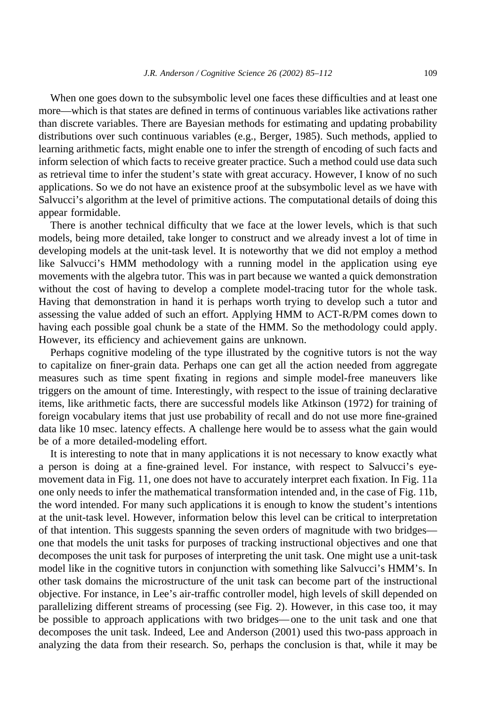When one goes down to the subsymbolic level one faces these difficulties and at least one more—which is that states are defined in terms of continuous variables like activations rather than discrete variables. There are Bayesian methods for estimating and updating probability distributions over such continuous variables (e.g., Berger, 1985). Such methods, applied to learning arithmetic facts, might enable one to infer the strength of encoding of such facts and inform selection of which facts to receive greater practice. Such a method could use data such as retrieval time to infer the student's state with great accuracy. However, I know of no such applications. So we do not have an existence proof at the subsymbolic level as we have with Salvucci's algorithm at the level of primitive actions. The computational details of doing this appear formidable.

There is another technical difficulty that we face at the lower levels, which is that such models, being more detailed, take longer to construct and we already invest a lot of time in developing models at the unit-task level. It is noteworthy that we did not employ a method like Salvucci's HMM methodology with a running model in the application using eye movements with the algebra tutor. This was in part because we wanted a quick demonstration without the cost of having to develop a complete model-tracing tutor for the whole task. Having that demonstration in hand it is perhaps worth trying to develop such a tutor and assessing the value added of such an effort. Applying HMM to ACT-R/PM comes down to having each possible goal chunk be a state of the HMM. So the methodology could apply. However, its efficiency and achievement gains are unknown.

Perhaps cognitive modeling of the type illustrated by the cognitive tutors is not the way to capitalize on finer-grain data. Perhaps one can get all the action needed from aggregate measures such as time spent fixating in regions and simple model-free maneuvers like triggers on the amount of time. Interestingly, with respect to the issue of training declarative items, like arithmetic facts, there are successful models like Atkinson (1972) for training of foreign vocabulary items that just use probability of recall and do not use more fine-grained data like 10 msec. latency effects. A challenge here would be to assess what the gain would be of a more detailed-modeling effort.

It is interesting to note that in many applications it is not necessary to know exactly what a person is doing at a fine-grained level. For instance, with respect to Salvucci's eyemovement data in Fig. 11, one does not have to accurately interpret each fixation. In Fig. 11a one only needs to infer the mathematical transformation intended and, in the case of Fig. 11b, the word intended. For many such applications it is enough to know the student's intentions at the unit-task level. However, information below this level can be critical to interpretation of that intention. This suggests spanning the seven orders of magnitude with two bridges one that models the unit tasks for purposes of tracking instructional objectives and one that decomposes the unit task for purposes of interpreting the unit task. One might use a unit-task model like in the cognitive tutors in conjunction with something like Salvucci's HMM's. In other task domains the microstructure of the unit task can become part of the instructional objective. For instance, in Lee's air-traffic controller model, high levels of skill depended on parallelizing different streams of processing (see Fig. 2). However, in this case too, it may be possible to approach applications with two bridges—one to the unit task and one that decomposes the unit task. Indeed, Lee and Anderson (2001) used this two-pass approach in analyzing the data from their research. So, perhaps the conclusion is that, while it may be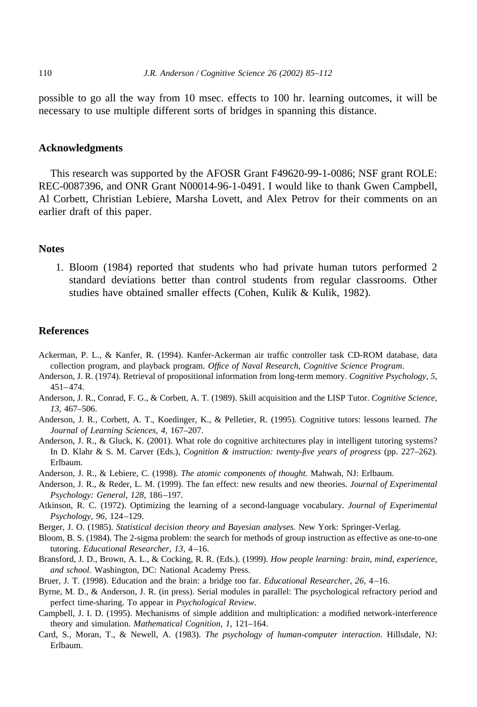possible to go all the way from 10 msec. effects to 100 hr. learning outcomes, it will be necessary to use multiple different sorts of bridges in spanning this distance.

#### **Acknowledgments**

This research was supported by the AFOSR Grant F49620-99-1-0086; NSF grant ROLE: REC-0087396, and ONR Grant N00014-96-1-0491. I would like to thank Gwen Campbell, Al Corbett, Christian Lebiere, Marsha Lovett, and Alex Petrov for their comments on an earlier draft of this paper.

#### **Notes**

1. Bloom (1984) reported that students who had private human tutors performed 2 standard deviations better than control students from regular classrooms. Other studies have obtained smaller effects (Cohen, Kulik & Kulik, 1982).

#### **References**

- Ackerman, P. L., & Kanfer, R. (1994). Kanfer-Ackerman air traffic controller task CD-ROM database, data collection program, and playback program. *Office of Naval Research, Cognitive Science Program*.
- Anderson, J. R. (1974). Retrieval of propositional information from long-term memory. *Cognitive Psychology, 5,* 451–474.
- Anderson, J. R., Conrad, F. G., & Corbett, A. T. (1989). Skill acquisition and the LISP Tutor. *Cognitive Science, 13,* 467–506.
- Anderson, J. R., Corbett, A. T., Koedinger, K., & Pelletier, R. (1995). Cognitive tutors: lessons learned. *The Journal of Learning Sciences, 4,* 167–207.
- Anderson, J. R., & Gluck, K. (2001). What role do cognitive architectures play in intelligent tutoring systems? In D. Klahr & S. M. Carver (Eds.), *Cognition & instruction: twenty-five years of progress* (pp. 227–262). Erlbaum.
- Anderson, J. R., & Lebiere, C. (1998). *The atomic components of thought*. Mahwah, NJ: Erlbaum.
- Anderson, J. R., & Reder, L. M. (1999). The fan effect: new results and new theories. *Journal of Experimental Psychology: General, 128,* 186–197.
- Atkinson, R. C. (1972). Optimizing the learning of a second-language vocabulary. *Journal of Experimental Psychology, 96,* 124–129.
- Berger, J. O. (1985). *Statistical decision theory and Bayesian analyses.* New York: Springer-Verlag.
- Bloom, B. S. (1984). The 2-sigma problem: the search for methods of group instruction as effective as one-to-one tutoring. *Educational Researcher, 13,* 4–16.
- Bransford, J. D., Brown, A. L., & Cocking, R. R. (Eds.). (1999). *How people learning: brain, mind, experience, and school.* Washington, DC: National Academy Press.
- Bruer, J. T. (1998). Education and the brain: a bridge too far. *Educational Researcher, 26,* 4–16.
- Byrne, M. D., & Anderson, J. R. (in press). Serial modules in parallel: The psychological refractory period and perfect time-sharing. To appear in *Psychological Review*.
- Campbell, J. I. D. (1995). Mechanisms of simple addition and multiplication: a modified network-interference theory and simulation. *Mathematical Cognition, 1,* 121–164.
- Card, S., Moran, T., & Newell, A. (1983). *The psychology of human-computer interaction*. Hillsdale, NJ: Erlbaum.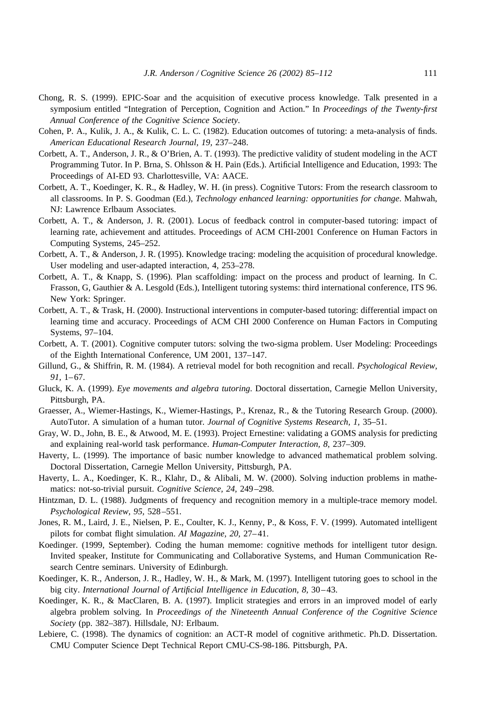- Chong, R. S. (1999). EPIC-Soar and the acquisition of executive process knowledge. Talk presented in a symposium entitled "Integration of Perception, Cognition and Action." In *Proceedings of the Twenty-first Annual Conference of the Cognitive Science Society*.
- Cohen, P. A., Kulik, J. A., & Kulik, C. L. C. (1982). Education outcomes of tutoring: a meta-analysis of finds. *American Educational Research Journal, 19,* 237–248.
- Corbett, A. T., Anderson, J. R., & O'Brien, A. T. (1993). The predictive validity of student modeling in the ACT Programming Tutor. In P. Brna, S. Ohlsson & H. Pain (Eds.). Artificial Intelligence and Education, 1993: The Proceedings of AI-ED 93. Charlottesville, VA: AACE.
- Corbett, A. T., Koedinger, K. R., & Hadley, W. H. (in press). Cognitive Tutors: From the research classroom to all classrooms. In P. S. Goodman (Ed.), *Technology enhanced learning: opportunities for change*. Mahwah, NJ: Lawrence Erlbaum Associates.
- Corbett, A. T., & Anderson, J. R. (2001). Locus of feedback control in computer-based tutoring: impact of learning rate, achievement and attitudes. Proceedings of ACM CHI-2001 Conference on Human Factors in Computing Systems, 245–252.
- Corbett, A. T., & Anderson, J. R. (1995). Knowledge tracing: modeling the acquisition of procedural knowledge. User modeling and user-adapted interaction, 4, 253–278.
- Corbett, A. T., & Knapp, S. (1996). Plan scaffolding: impact on the process and product of learning. In C. Frasson, G, Gauthier & A. Lesgold (Eds.), Intelligent tutoring systems: third international conference, ITS 96. New York: Springer.
- Corbett, A. T., & Trask, H. (2000). Instructional interventions in computer-based tutoring: differential impact on learning time and accuracy. Proceedings of ACM CHI 2000 Conference on Human Factors in Computing Systems, 97–104.
- Corbett, A. T. (2001). Cognitive computer tutors: solving the two-sigma problem. User Modeling: Proceedings of the Eighth International Conference, UM 2001, 137–147.
- Gillund, G., & Shiffrin, R. M. (1984). A retrieval model for both recognition and recall. *Psychological Review, 91,* 1–67.
- Gluck, K. A. (1999). *Eye movements and algebra tutoring*. Doctoral dissertation, Carnegie Mellon University, Pittsburgh, PA.
- Graesser, A., Wiemer-Hastings, K., Wiemer-Hastings, P., Krenaz, R., & the Tutoring Research Group. (2000). AutoTutor. A simulation of a human tutor. *Journal of Cognitive Systems Research, 1,* 35–51.
- Gray, W. D., John, B. E., & Atwood, M. E. (1993). Project Ernestine: validating a GOMS analysis for predicting and explaining real-world task performance. *Human-Computer Interaction, 8,* 237–309.
- Haverty, L. (1999). The importance of basic number knowledge to advanced mathematical problem solving. Doctoral Dissertation, Carnegie Mellon University, Pittsburgh, PA.
- Haverty, L. A., Koedinger, K. R., Klahr, D., & Alibali, M. W. (2000). Solving induction problems in mathematics: not-so-trivial pursuit. *Cognitive Science, 24,* 249–298.
- Hintzman, D. L. (1988). Judgments of frequency and recognition memory in a multiple-trace memory model. *Psychological Review, 95,* 528–551.
- Jones, R. M., Laird, J. E., Nielsen, P. E., Coulter, K. J., Kenny, P., & Koss, F. V. (1999). Automated intelligent pilots for combat flight simulation. *AI Magazine, 20,* 27–41.
- Koedinger. (1999, September). Coding the human memome: cognitive methods for intelligent tutor design. Invited speaker, Institute for Communicating and Collaborative Systems, and Human Communication Research Centre seminars. University of Edinburgh.
- Koedinger, K. R., Anderson, J. R., Hadley, W. H., & Mark, M. (1997). Intelligent tutoring goes to school in the big city. *International Journal of Artificial Intelligence in Education, 8,* 30–43.
- Koedinger, K. R., & MacClaren, B. A. (1997). Implicit strategies and errors in an improved model of early algebra problem solving. In *Proceedings of the Nineteenth Annual Conference of the Cognitive Science Society* (pp. 382–387). Hillsdale, NJ: Erlbaum.
- Lebiere, C. (1998). The dynamics of cognition: an ACT-R model of cognitive arithmetic. Ph.D. Dissertation. CMU Computer Science Dept Technical Report CMU-CS-98-186. Pittsburgh, PA.